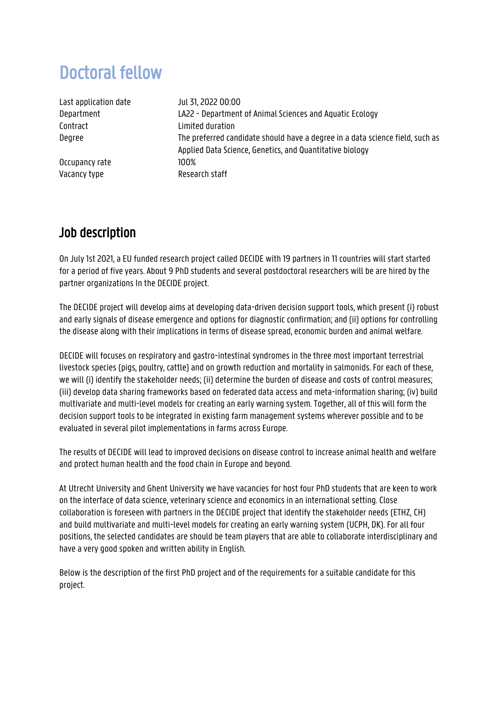## Doctoral fellow

| Last application date | Jul 31, 2022 00:00                                                                                                                        |
|-----------------------|-------------------------------------------------------------------------------------------------------------------------------------------|
| Department            | LA22 - Department of Animal Sciences and Aquatic Ecology                                                                                  |
| Contract              | Limited duration                                                                                                                          |
| Degree                | The preferred candidate should have a degree in a data science field, such as<br>Applied Data Science, Genetics, and Quantitative biology |
| Occupancy rate        | 100%                                                                                                                                      |
| Vacancy type          | Research staff                                                                                                                            |
|                       |                                                                                                                                           |

## Job description

On July 1st 2021, a EU funded research project called DECIDE with 19 partners in 11 countries will start started for a period of five years. About 9 PhD students and several postdoctoral researchers will be are hired by the partner organizations In the DECIDE project.

The DECIDE project will develop aims at developing data-driven decision support tools, which present (i) robust and early signals of disease emergence and options for diagnostic confirmation; and (ii) options for controlling the disease along with their implications in terms of disease spread, economic burden and animal welfare.

DECIDE will focuses on respiratory and gastro-intestinal syndromes in the three most important terrestrial livestock species (pigs, poultry, cattle) and on growth reduction and mortality in salmonids. For each of these, we will (i) identify the stakeholder needs; (ii) determine the burden of disease and costs of control measures; (iii) develop data sharing frameworks based on federated data access and meta-information sharing; (iv) build multivariate and multi-level models for creating an early warning system. Together, all of this will form the decision support tools to be integrated in existing farm management systems wherever possible and to be evaluated in several pilot implementations in farms across Europe.

The results of DECIDE will lead to improved decisions on disease control to increase animal health and welfare and protect human health and the food chain in Europe and beyond.

At Utrecht University and Ghent University we have vacancies for host four PhD students that are keen to work on the interface of data science, veterinary science and economics in an international setting. Close collaboration is foreseen with partners in the DECIDE project that identify the stakeholder needs (ETHZ, CH) and build multivariate and multi-level models for creating an early warning system (UCPH, DK). For all four positions, the selected candidates are should be team players that are able to collaborate interdisciplinary and have a very good spoken and written ability in English.

Below is the description of the first PhD project and of the requirements for a suitable candidate for this project.